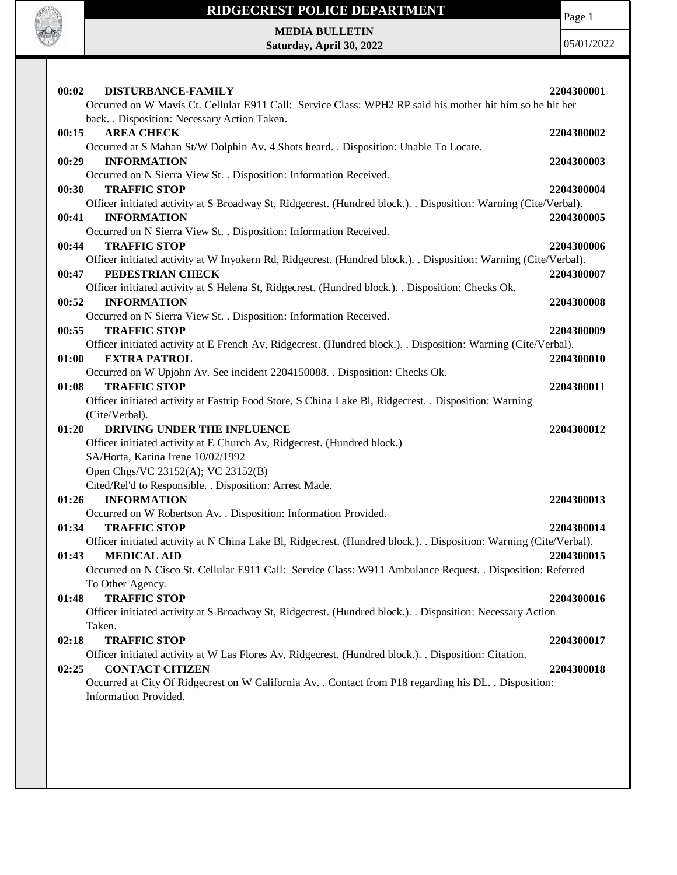

Page 1

**MEDIA BULLETIN Saturday, April 30, 2022**

| 00:02<br><b>DISTURBANCE-FAMILY</b><br>Occurred on W Mavis Ct. Cellular E911 Call: Service Class: WPH2 RP said his mother hit him so he hit her    | 2204300001 |
|---------------------------------------------------------------------------------------------------------------------------------------------------|------------|
| back. . Disposition: Necessary Action Taken.                                                                                                      |            |
| 00:15<br><b>AREA CHECK</b>                                                                                                                        | 2204300002 |
| Occurred at S Mahan St/W Dolphin Av. 4 Shots heard. . Disposition: Unable To Locate.                                                              |            |
| 00:29<br><b>INFORMATION</b>                                                                                                                       | 2204300003 |
| Occurred on N Sierra View St. . Disposition: Information Received.                                                                                |            |
| 00:30<br><b>TRAFFIC STOP</b>                                                                                                                      | 2204300004 |
| Officer initiated activity at S Broadway St, Ridgecrest. (Hundred block.). . Disposition: Warning (Cite/Verbal).                                  |            |
| <b>INFORMATION</b><br>00:41                                                                                                                       | 2204300005 |
| Occurred on N Sierra View St. . Disposition: Information Received.                                                                                |            |
| 00:44<br><b>TRAFFIC STOP</b>                                                                                                                      | 2204300006 |
| Officer initiated activity at W Inyokern Rd, Ridgecrest. (Hundred block.). . Disposition: Warning (Cite/Verbal).                                  |            |
| 00:47<br>PEDESTRIAN CHECK                                                                                                                         | 2204300007 |
| Officer initiated activity at S Helena St, Ridgecrest. (Hundred block.). . Disposition: Checks Ok.                                                |            |
| 00:52<br><b>INFORMATION</b>                                                                                                                       | 2204300008 |
| Occurred on N Sierra View St. . Disposition: Information Received.                                                                                |            |
| <b>TRAFFIC STOP</b><br>00:55                                                                                                                      | 2204300009 |
| Officer initiated activity at E French Av, Ridgecrest. (Hundred block.). . Disposition: Warning (Cite/Verbal).                                    |            |
| <b>EXTRA PATROL</b><br>01:00                                                                                                                      | 2204300010 |
| Occurred on W Upjohn Av. See incident 2204150088. . Disposition: Checks Ok.                                                                       |            |
| <b>TRAFFIC STOP</b><br>01:08                                                                                                                      | 2204300011 |
| Officer initiated activity at Fastrip Food Store, S China Lake Bl, Ridgecrest. . Disposition: Warning                                             |            |
| (Cite/Verbal).                                                                                                                                    |            |
| DRIVING UNDER THE INFLUENCE<br>01:20                                                                                                              | 2204300012 |
| Officer initiated activity at E Church Av, Ridgecrest. (Hundred block.)                                                                           |            |
| SA/Horta, Karina Irene 10/02/1992                                                                                                                 |            |
| Open Chgs/VC 23152(A); VC 23152(B)                                                                                                                |            |
| Cited/Rel'd to Responsible. . Disposition: Arrest Made.                                                                                           |            |
| 01:26<br><b>INFORMATION</b>                                                                                                                       | 2204300013 |
| Occurred on W Robertson Av. . Disposition: Information Provided.                                                                                  |            |
| <b>TRAFFIC STOP</b><br>01:34                                                                                                                      | 2204300014 |
| Officer initiated activity at N China Lake Bl, Ridgecrest. (Hundred block.). . Disposition: Warning (Cite/Verbal).<br><b>MEDICAL AID</b><br>01:43 | 2204300015 |
| Occurred on N Cisco St. Cellular E911 Call: Service Class: W911 Ambulance Request. . Disposition: Referred                                        |            |
| To Other Agency.                                                                                                                                  |            |
| <b>TRAFFIC STOP</b><br>01:48                                                                                                                      | 2204300016 |
| Officer initiated activity at S Broadway St, Ridgecrest. (Hundred block.). . Disposition: Necessary Action                                        |            |
| Taken.                                                                                                                                            |            |
| <b>TRAFFIC STOP</b><br>02:18                                                                                                                      | 2204300017 |
| Officer initiated activity at W Las Flores Av, Ridgecrest. (Hundred block.). Disposition: Citation.                                               |            |
| <b>CONTACT CITIZEN</b><br>02:25                                                                                                                   | 2204300018 |
| Occurred at City Of Ridgecrest on W California Av. . Contact from P18 regarding his DL. . Disposition:                                            |            |
| Information Provided.                                                                                                                             |            |
|                                                                                                                                                   |            |
|                                                                                                                                                   |            |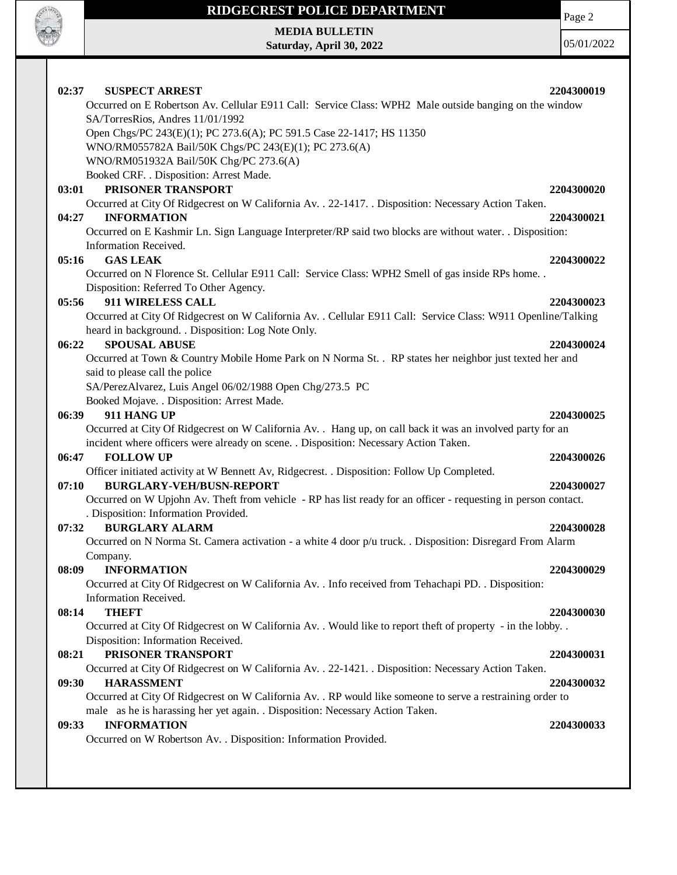

# **RIDGECREST POLICE DEPARTMENT MEDIA BULLETIN**

**Saturday, April 30, 2022**

Page 2

| 02:37<br><b>SUSPECT ARREST</b>                                                                                 | 2204300019 |
|----------------------------------------------------------------------------------------------------------------|------------|
| Occurred on E Robertson Av. Cellular E911 Call: Service Class: WPH2 Male outside banging on the window         |            |
| SA/TorresRios, Andres 11/01/1992                                                                               |            |
| Open Chgs/PC 243(E)(1); PC 273.6(A); PC 591.5 Case 22-1417; HS 11350                                           |            |
| WNO/RM055782A Bail/50K Chgs/PC 243(E)(1); PC 273.6(A)                                                          |            |
| WNO/RM051932A Bail/50K Chg/PC 273.6(A)                                                                         |            |
| Booked CRF. . Disposition: Arrest Made.<br>PRISONER TRANSPORT                                                  |            |
| 03:01<br>Occurred at City Of Ridgecrest on W California Av. . 22-1417. . Disposition: Necessary Action Taken.  | 2204300020 |
| <b>INFORMATION</b><br>04:27                                                                                    | 2204300021 |
| Occurred on E Kashmir Ln. Sign Language Interpreter/RP said two blocks are without water. . Disposition:       |            |
| Information Received.                                                                                          |            |
| <b>GAS LEAK</b><br>05:16                                                                                       | 2204300022 |
| Occurred on N Florence St. Cellular E911 Call: Service Class: WPH2 Smell of gas inside RPs home                |            |
| Disposition: Referred To Other Agency.                                                                         |            |
| 911 WIRELESS CALL<br>05:56                                                                                     | 2204300023 |
| Occurred at City Of Ridgecrest on W California Av. . Cellular E911 Call: Service Class: W911 Openline/Talking  |            |
| heard in background. . Disposition: Log Note Only.                                                             |            |
| <b>SPOUSAL ABUSE</b><br>06:22                                                                                  | 2204300024 |
| Occurred at Town & Country Mobile Home Park on N Norma St. . RP states her neighbor just texted her and        |            |
| said to please call the police                                                                                 |            |
| SA/PerezAlvarez, Luis Angel 06/02/1988 Open Chg/273.5 PC                                                       |            |
| Booked Mojave. . Disposition: Arrest Made.                                                                     |            |
| 06:39<br>911 HANG UP                                                                                           | 2204300025 |
| Occurred at City Of Ridgecrest on W California Av. . Hang up, on call back it was an involved party for an     |            |
| incident where officers were already on scene. . Disposition: Necessary Action Taken.                          |            |
| <b>FOLLOW UP</b><br>06:47                                                                                      | 2204300026 |
| Officer initiated activity at W Bennett Av, Ridgecrest. . Disposition: Follow Up Completed.                    |            |
| <b>BURGLARY-VEH/BUSN-REPORT</b><br>07:10                                                                       | 2204300027 |
| Occurred on W Upjohn Av. Theft from vehicle - RP has list ready for an officer - requesting in person contact. |            |
| . Disposition: Information Provided.                                                                           |            |
| <b>BURGLARY ALARM</b><br>07:32                                                                                 | 2204300028 |
| Occurred on N Norma St. Camera activation - a white 4 door p/u truck. . Disposition: Disregard From Alarm      |            |
| Company.                                                                                                       |            |
| 08:09<br><b>INFORMATION</b>                                                                                    | 2204300029 |
| Occurred at City Of Ridgecrest on W California Av. . Info received from Tehachapi PD. . Disposition:           |            |
| Information Received.                                                                                          |            |
| <b>THEFT</b><br>08:14                                                                                          | 2204300030 |
| Occurred at City Of Ridgecrest on W California Av. . Would like to report theft of property - in the lobby. .  |            |
| Disposition: Information Received.<br>PRISONER TRANSPORT<br>08:21                                              | 2204300031 |
| Occurred at City Of Ridgecrest on W California Av. . 22-1421. . Disposition: Necessary Action Taken.           |            |
| 09:30<br><b>HARASSMENT</b>                                                                                     | 2204300032 |
| Occurred at City Of Ridgecrest on W California Av. . RP would like someone to serve a restraining order to     |            |
| male as he is harassing her yet again. . Disposition: Necessary Action Taken.                                  |            |
| 09:33<br><b>INFORMATION</b>                                                                                    | 2204300033 |
| Occurred on W Robertson Av. . Disposition: Information Provided.                                               |            |
|                                                                                                                |            |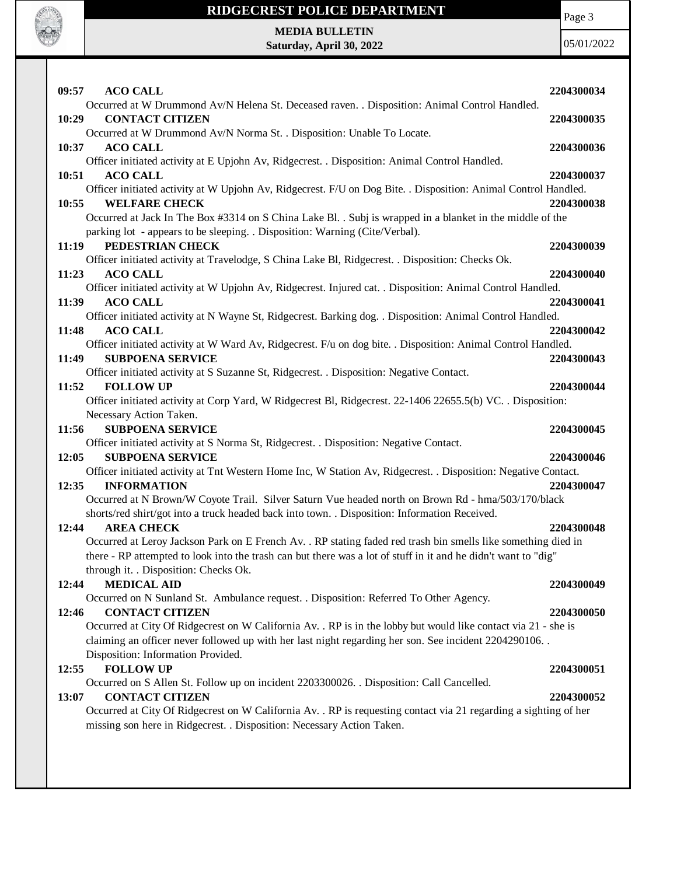

Page 3

**MEDIA BULLETIN Saturday, April 30, 2022**

| 09:57<br><b>ACO CALL</b>                                                                                                                            | 2204300034 |
|-----------------------------------------------------------------------------------------------------------------------------------------------------|------------|
| Occurred at W Drummond Av/N Helena St. Deceased raven. . Disposition: Animal Control Handled.                                                       |            |
| <b>CONTACT CITIZEN</b><br>10:29                                                                                                                     | 2204300035 |
| Occurred at W Drummond Av/N Norma St. . Disposition: Unable To Locate.                                                                              |            |
| <b>ACO CALL</b><br>10:37                                                                                                                            | 2204300036 |
| Officer initiated activity at E Upjohn Av, Ridgecrest. . Disposition: Animal Control Handled.                                                       |            |
| 10:51<br><b>ACO CALL</b>                                                                                                                            | 2204300037 |
| Officer initiated activity at W Upjohn Av, Ridgecrest. F/U on Dog Bite. . Disposition: Animal Control Handled.                                      |            |
| <b>WELFARE CHECK</b><br>10:55                                                                                                                       | 2204300038 |
| Occurred at Jack In The Box #3314 on S China Lake Bl. . Subj is wrapped in a blanket in the middle of the                                           |            |
| parking lot - appears to be sleeping. . Disposition: Warning (Cite/Verbal).<br>PEDESTRIAN CHECK<br>11:19                                            | 2204300039 |
| Officer initiated activity at Travelodge, S China Lake Bl, Ridgecrest. . Disposition: Checks Ok.                                                    |            |
| <b>ACO CALL</b><br>11:23                                                                                                                            | 2204300040 |
| Officer initiated activity at W Upjohn Av, Ridgecrest. Injured cat. . Disposition: Animal Control Handled.                                          |            |
| <b>ACO CALL</b><br>11:39                                                                                                                            | 2204300041 |
| Officer initiated activity at N Wayne St, Ridgecrest. Barking dog. . Disposition: Animal Control Handled.                                           |            |
| <b>ACO CALL</b><br>11:48                                                                                                                            | 2204300042 |
| Officer initiated activity at W Ward Av, Ridgecrest. F/u on dog bite. . Disposition: Animal Control Handled.                                        |            |
| 11:49<br><b>SUBPOENA SERVICE</b>                                                                                                                    | 2204300043 |
| Officer initiated activity at S Suzanne St, Ridgecrest. . Disposition: Negative Contact.                                                            |            |
| 11:52<br><b>FOLLOW UP</b>                                                                                                                           | 2204300044 |
| Officer initiated activity at Corp Yard, W Ridgecrest Bl, Ridgecrest. 22-1406 22655.5(b) VC. . Disposition:                                         |            |
| Necessary Action Taken.                                                                                                                             |            |
|                                                                                                                                                     |            |
| 11:56<br><b>SUBPOENA SERVICE</b>                                                                                                                    | 2204300045 |
| Officer initiated activity at S Norma St, Ridgecrest. . Disposition: Negative Contact.                                                              |            |
| 12:05<br><b>SUBPOENA SERVICE</b>                                                                                                                    | 2204300046 |
| Officer initiated activity at Tnt Western Home Inc, W Station Av, Ridgecrest. . Disposition: Negative Contact.                                      |            |
| 12:35<br><b>INFORMATION</b>                                                                                                                         | 2204300047 |
| Occurred at N Brown/W Coyote Trail. Silver Saturn Vue headed north on Brown Rd - hma/503/170/black                                                  |            |
| shorts/red shirt/got into a truck headed back into town. . Disposition: Information Received.<br><b>AREA CHECK</b><br>12:44                         | 2204300048 |
| Occurred at Leroy Jackson Park on E French Av. . RP stating faded red trash bin smells like something died in                                       |            |
| there - RP attempted to look into the trash can but there was a lot of stuff in it and he didn't want to "dig"                                      |            |
| through it. . Disposition: Checks Ok.                                                                                                               |            |
| <b>MEDICAL AID</b><br>12:44                                                                                                                         | 2204300049 |
| Occurred on N Sunland St. Ambulance request. . Disposition: Referred To Other Agency.                                                               |            |
| <b>CONTACT CITIZEN</b><br>12:46                                                                                                                     | 2204300050 |
| Occurred at City Of Ridgecrest on W California Av. . RP is in the lobby but would like contact via 21 - she is                                      |            |
| claiming an officer never followed up with her last night regarding her son. See incident 2204290106.                                               |            |
| Disposition: Information Provided.                                                                                                                  |            |
| <b>FOLLOW UP</b><br>12:55                                                                                                                           | 2204300051 |
| Occurred on S Allen St. Follow up on incident 2203300026. Disposition: Call Cancelled.                                                              |            |
| <b>CONTACT CITIZEN</b><br>13:07<br>Occurred at City Of Ridgecrest on W California Av. . RP is requesting contact via 21 regarding a sighting of her | 2204300052 |
| missing son here in Ridgecrest. . Disposition: Necessary Action Taken.                                                                              |            |
|                                                                                                                                                     |            |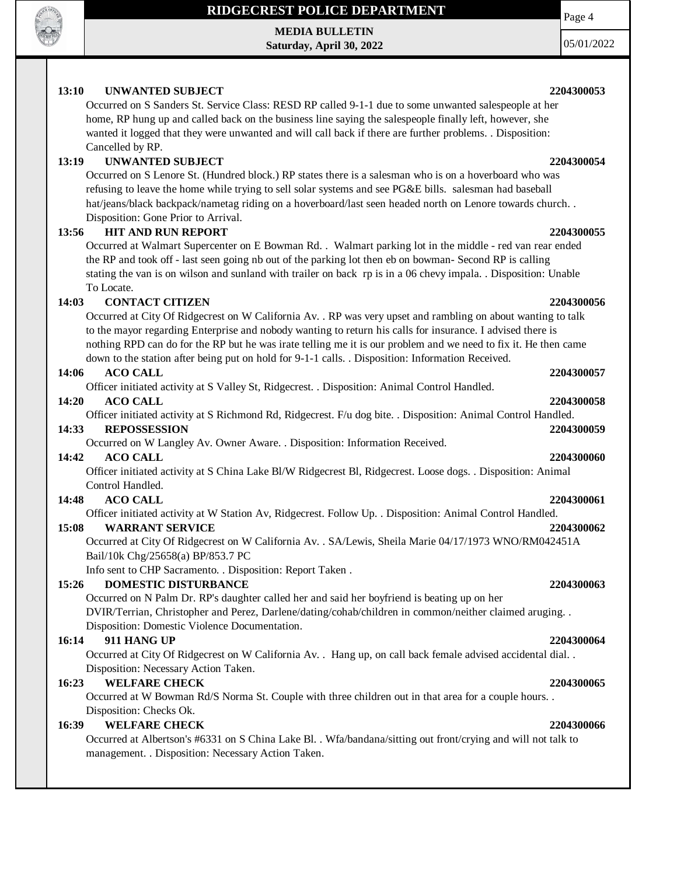

**MEDIA BULLETIN Saturday, April 30, 2022**

05/01/2022

Page 4

### **13:10 UNWANTED SUBJECT 2204300053**

Occurred on S Sanders St. Service Class: RESD RP called 9-1-1 due to some unwanted salespeople at her home, RP hung up and called back on the business line saying the salespeople finally left, however, she wanted it logged that they were unwanted and will call back if there are further problems. . Disposition: Cancelled by RP.

### **13:19 UNWANTED SUBJECT 2204300054**

Occurred on S Lenore St. (Hundred block.) RP states there is a salesman who is on a hoverboard who was refusing to leave the home while trying to sell solar systems and see PG&E bills. salesman had baseball hat/jeans/black backpack/nametag riding on a hoverboard/last seen headed north on Lenore towards church. . Disposition: Gone Prior to Arrival.

### **13:56 HIT AND RUN REPORT 2204300055**

Occurred at Walmart Supercenter on E Bowman Rd. . Walmart parking lot in the middle - red van rear ended the RP and took off - last seen going nb out of the parking lot then eb on bowman- Second RP is calling stating the van is on wilson and sunland with trailer on back rp is in a 06 chevy impala. . Disposition: Unable To Locate.

### **14:03 CONTACT CITIZEN 2204300056**

Occurred at City Of Ridgecrest on W California Av. . RP was very upset and rambling on about wanting to talk to the mayor regarding Enterprise and nobody wanting to return his calls for insurance. I advised there is nothing RPD can do for the RP but he was irate telling me it is our problem and we need to fix it. He then came down to the station after being put on hold for 9-1-1 calls. . Disposition: Information Received.

### **14:06 ACO CALL 2204300057**

Officer initiated activity at S Valley St, Ridgecrest. . Disposition: Animal Control Handled.

### **14:20 ACO CALL 2204300058**

Officer initiated activity at S Richmond Rd, Ridgecrest. F/u dog bite. . Disposition: Animal Control Handled.

### **14:33 REPOSSESSION 2204300059**

Occurred on W Langley Av. Owner Aware. . Disposition: Information Received.

### **14:42 ACO CALL 2204300060**

Officer initiated activity at S China Lake Bl/W Ridgecrest Bl, Ridgecrest. Loose dogs. . Disposition: Animal Control Handled.

### **14:48 ACO CALL 2204300061**

Officer initiated activity at W Station Av, Ridgecrest. Follow Up. . Disposition: Animal Control Handled.

### **15:08 WARRANT SERVICE 2204300062**

Occurred at City Of Ridgecrest on W California Av. . SA/Lewis, Sheila Marie 04/17/1973 WNO/RM042451A Bail/10k Chg/25658(a) BP/853.7 PC

Info sent to CHP Sacramento. . Disposition: Report Taken .

### **15:26 DOMESTIC DISTURBANCE 2204300063**

Occurred on N Palm Dr. RP's daughter called her and said her boyfriend is beating up on her DVIR/Terrian, Christopher and Perez, Darlene/dating/cohab/children in common/neither claimed aruging. . Disposition: Domestic Violence Documentation.

### **16:14 911 HANG UP 2204300064**

Occurred at City Of Ridgecrest on W California Av. . Hang up, on call back female advised accidental dial. . Disposition: Necessary Action Taken.

### **16:23 WELFARE CHECK 2204300065**

Occurred at W Bowman Rd/S Norma St. Couple with three children out in that area for a couple hours. . Disposition: Checks Ok.

### **16:39 WELFARE CHECK 2204300066**

Occurred at Albertson's #6331 on S China Lake Bl. . Wfa/bandana/sitting out front/crying and will not talk to management. . Disposition: Necessary Action Taken.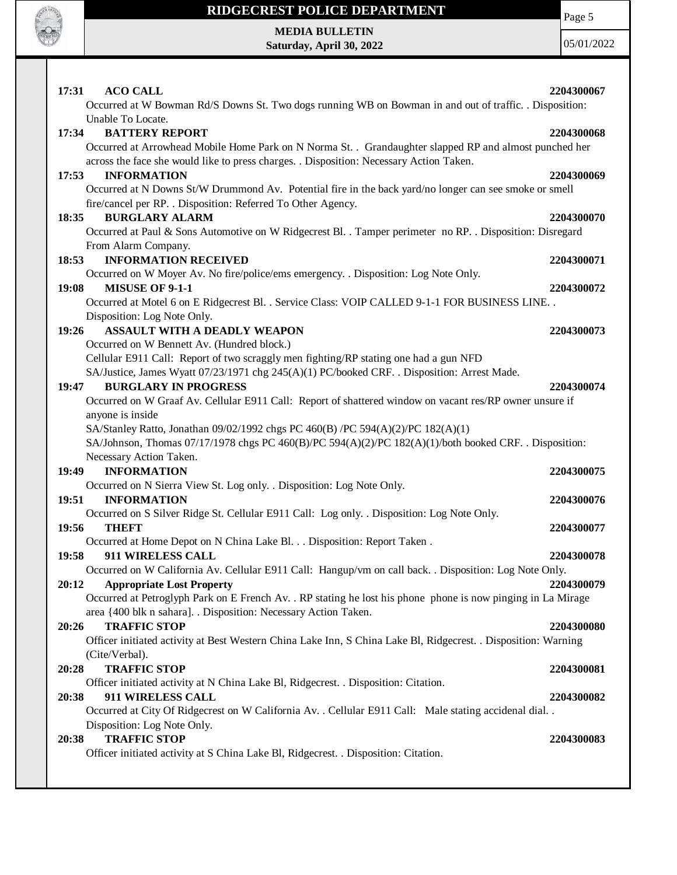

Page 5

**MEDIA BULLETIN Saturday, April 30, 2022**

| 17:31 | <b>ACO CALL</b>                                                                                                                                                                                                         | 2204300067 |
|-------|-------------------------------------------------------------------------------------------------------------------------------------------------------------------------------------------------------------------------|------------|
|       | Occurred at W Bowman Rd/S Downs St. Two dogs running WB on Bowman in and out of traffic. . Disposition:<br>Unable To Locate.                                                                                            |            |
| 17:34 | <b>BATTERY REPORT</b><br>Occurred at Arrowhead Mobile Home Park on N Norma St. . Grandaughter slapped RP and almost punched her                                                                                         | 2204300068 |
| 17:53 | across the face she would like to press charges. . Disposition: Necessary Action Taken.<br><b>INFORMATION</b><br>Occurred at N Downs St/W Drummond Av. Potential fire in the back yard/no longer can see smoke or smell | 2204300069 |
| 18:35 | fire/cancel per RP. . Disposition: Referred To Other Agency.<br><b>BURGLARY ALARM</b>                                                                                                                                   | 2204300070 |
|       | Occurred at Paul & Sons Automotive on W Ridgecrest Bl. . Tamper perimeter no RP. . Disposition: Disregard<br>From Alarm Company.                                                                                        |            |
| 18:53 | <b>INFORMATION RECEIVED</b>                                                                                                                                                                                             | 2204300071 |
| 19:08 | Occurred on W Moyer Av. No fire/police/ems emergency. . Disposition: Log Note Only.<br>MISUSE OF 9-1-1                                                                                                                  | 2204300072 |
|       | Occurred at Motel 6 on E Ridgecrest Bl. . Service Class: VOIP CALLED 9-1-1 FOR BUSINESS LINE. .<br>Disposition: Log Note Only.                                                                                          |            |
| 19:26 | ASSAULT WITH A DEADLY WEAPON                                                                                                                                                                                            | 2204300073 |
|       | Occurred on W Bennett Av. (Hundred block.)                                                                                                                                                                              |            |
|       | Cellular E911 Call: Report of two scraggly men fighting/RP stating one had a gun NFD                                                                                                                                    |            |
|       | SA/Justice, James Wyatt 07/23/1971 chg 245(A)(1) PC/booked CRF. . Disposition: Arrest Made.                                                                                                                             |            |
| 19:47 | <b>BURGLARY IN PROGRESS</b>                                                                                                                                                                                             | 2204300074 |
|       | Occurred on W Graaf Av. Cellular E911 Call: Report of shattered window on vacant res/RP owner unsure if                                                                                                                 |            |
|       | anyone is inside                                                                                                                                                                                                        |            |
|       | SA/Stanley Ratto, Jonathan 09/02/1992 chgs PC 460(B) /PC 594(A)(2)/PC 182(A)(1)                                                                                                                                         |            |
|       | SA/Johnson, Thomas 07/17/1978 chgs PC 460(B)/PC 594(A)(2)/PC 182(A)(1)/both booked CRF. . Disposition:                                                                                                                  |            |
|       | Necessary Action Taken.                                                                                                                                                                                                 |            |
| 19:49 | <b>INFORMATION</b><br>Occurred on N Sierra View St. Log only. . Disposition: Log Note Only.                                                                                                                             | 2204300075 |
| 19:51 | <b>INFORMATION</b>                                                                                                                                                                                                      | 2204300076 |
|       | Occurred on S Silver Ridge St. Cellular E911 Call: Log only. . Disposition: Log Note Only.                                                                                                                              |            |
| 19:56 | <b>THEFT</b>                                                                                                                                                                                                            | 2204300077 |
|       | Occurred at Home Depot on N China Lake Bl. Disposition: Report Taken .                                                                                                                                                  |            |
| 19:58 | 911 WIRELESS CALL                                                                                                                                                                                                       | 2204300078 |
|       | Occurred on W California Av. Cellular E911 Call: Hangup/vm on call back. . Disposition: Log Note Only.                                                                                                                  |            |
| 20:12 | <b>Appropriate Lost Property</b>                                                                                                                                                                                        | 2204300079 |
|       | Occurred at Petroglyph Park on E French Av. . RP stating he lost his phone phone is now pinging in La Mirage                                                                                                            |            |
|       | area {400 blk n sahara]. . Disposition: Necessary Action Taken.                                                                                                                                                         |            |
| 20:26 | <b>TRAFFIC STOP</b>                                                                                                                                                                                                     | 2204300080 |
|       | Officer initiated activity at Best Western China Lake Inn, S China Lake Bl, Ridgecrest. . Disposition: Warning                                                                                                          |            |
|       | (Cite/Verbal).                                                                                                                                                                                                          |            |
| 20:28 | <b>TRAFFIC STOP</b>                                                                                                                                                                                                     | 2204300081 |
|       | Officer initiated activity at N China Lake Bl, Ridgecrest. . Disposition: Citation.                                                                                                                                     |            |
| 20:38 | 911 WIRELESS CALL                                                                                                                                                                                                       | 2204300082 |
|       | Occurred at City Of Ridgecrest on W California Av. . Cellular E911 Call: Male stating accidenal dial. .                                                                                                                 |            |
|       | Disposition: Log Note Only.                                                                                                                                                                                             |            |
| 20:38 | <b>TRAFFIC STOP</b>                                                                                                                                                                                                     | 2204300083 |
|       | Officer initiated activity at S China Lake Bl, Ridgecrest. . Disposition: Citation.                                                                                                                                     |            |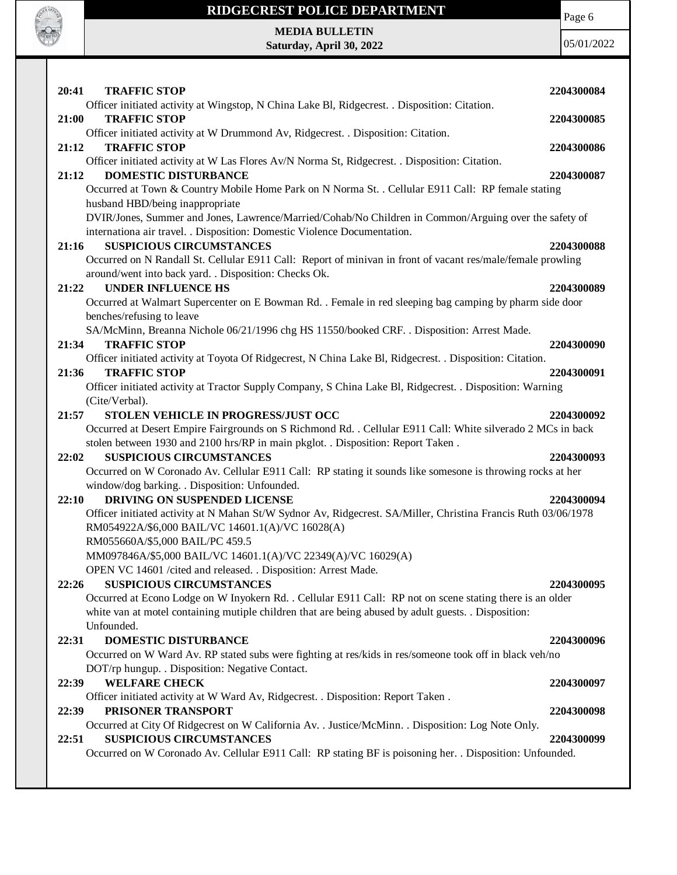

Page 6

**MEDIA BULLETIN Saturday, April 30, 2022**

| 20:41 | <b>TRAFFIC STOP</b>                                                                                                                  | 2204300084 |
|-------|--------------------------------------------------------------------------------------------------------------------------------------|------------|
|       | Officer initiated activity at Wingstop, N China Lake Bl, Ridgecrest. . Disposition: Citation.                                        |            |
| 21:00 | <b>TRAFFIC STOP</b>                                                                                                                  | 2204300085 |
|       | Officer initiated activity at W Drummond Av, Ridgecrest. . Disposition: Citation.                                                    |            |
| 21:12 | <b>TRAFFIC STOP</b>                                                                                                                  | 2204300086 |
|       | Officer initiated activity at W Las Flores Av/N Norma St, Ridgecrest. . Disposition: Citation.                                       |            |
| 21:12 | <b>DOMESTIC DISTURBANCE</b>                                                                                                          | 2204300087 |
|       | Occurred at Town & Country Mobile Home Park on N Norma St. . Cellular E911 Call: RP female stating                                   |            |
|       | husband HBD/being inappropriate                                                                                                      |            |
|       | DVIR/Jones, Summer and Jones, Lawrence/Married/Cohab/No Children in Common/Arguing over the safety of                                |            |
|       | internationa air travel. . Disposition: Domestic Violence Documentation.                                                             |            |
| 21:16 | <b>SUSPICIOUS CIRCUMSTANCES</b>                                                                                                      | 2204300088 |
|       | Occurred on N Randall St. Cellular E911 Call: Report of minivan in front of vacant res/male/female prowling                          |            |
|       | around/went into back yard. . Disposition: Checks Ok.<br><b>UNDER INFLUENCE HS</b>                                                   |            |
| 21:22 |                                                                                                                                      | 2204300089 |
|       | Occurred at Walmart Supercenter on E Bowman Rd. . Female in red sleeping bag camping by pharm side door<br>benches/refusing to leave |            |
|       | SA/McMinn, Breanna Nichole 06/21/1996 chg HS 11550/booked CRF. . Disposition: Arrest Made.                                           |            |
| 21:34 | <b>TRAFFIC STOP</b>                                                                                                                  | 2204300090 |
|       | Officer initiated activity at Toyota Of Ridgecrest, N China Lake Bl, Ridgecrest. . Disposition: Citation.                            |            |
| 21:36 | <b>TRAFFIC STOP</b>                                                                                                                  | 2204300091 |
|       | Officer initiated activity at Tractor Supply Company, S China Lake Bl, Ridgecrest. . Disposition: Warning                            |            |
|       | (Cite/Verbal).                                                                                                                       |            |
| 21:57 | STOLEN VEHICLE IN PROGRESS/JUST OCC                                                                                                  | 2204300092 |
|       | Occurred at Desert Empire Fairgrounds on S Richmond Rd. . Cellular E911 Call: White silverado 2 MCs in back                          |            |
|       |                                                                                                                                      |            |
|       |                                                                                                                                      |            |
| 22:02 | stolen between 1930 and 2100 hrs/RP in main pkglot. . Disposition: Report Taken.<br><b>SUSPICIOUS CIRCUMSTANCES</b>                  | 2204300093 |
|       | Occurred on W Coronado Av. Cellular E911 Call: RP stating it sounds like somesone is throwing rocks at her                           |            |
|       | window/dog barking. . Disposition: Unfounded.                                                                                        |            |
| 22:10 | DRIVING ON SUSPENDED LICENSE                                                                                                         | 2204300094 |
|       | Officer initiated activity at N Mahan St/W Sydnor Av, Ridgecrest. SA/Miller, Christina Francis Ruth 03/06/1978                       |            |
|       | RM054922A/\$6,000 BAIL/VC 14601.1(A)/VC 16028(A)                                                                                     |            |
|       | RM055660A/\$5,000 BAIL/PC 459.5                                                                                                      |            |
|       | MM097846A/\$5,000 BAIL/VC 14601.1(A)/VC 22349(A)/VC 16029(A)                                                                         |            |
|       | OPEN VC 14601 /cited and released. . Disposition: Arrest Made.                                                                       |            |
| 22:26 | <b>SUSPICIOUS CIRCUMSTANCES</b>                                                                                                      | 2204300095 |
|       | Occurred at Econo Lodge on W Inyokern Rd. . Cellular E911 Call: RP not on scene stating there is an older                            |            |
|       | white van at motel containing mutiple children that are being abused by adult guests. . Disposition:                                 |            |
|       | Unfounded.                                                                                                                           |            |
| 22:31 | <b>DOMESTIC DISTURBANCE</b>                                                                                                          | 2204300096 |
|       | Occurred on W Ward Av. RP stated subs were fighting at res/kids in res/someone took off in black veh/no                              |            |
|       | DOT/rp hungup. . Disposition: Negative Contact.                                                                                      |            |
| 22:39 | <b>WELFARE CHECK</b>                                                                                                                 | 2204300097 |
|       | Officer initiated activity at W Ward Av, Ridgecrest. . Disposition: Report Taken.                                                    |            |
| 22:39 | PRISONER TRANSPORT                                                                                                                   | 2204300098 |
|       | Occurred at City Of Ridgecrest on W California Av. . Justice/McMinn. . Disposition: Log Note Only.                                   |            |
| 22:51 | <b>SUSPICIOUS CIRCUMSTANCES</b>                                                                                                      | 2204300099 |
|       | Occurred on W Coronado Av. Cellular E911 Call: RP stating BF is poisoning her. . Disposition: Unfounded.                             |            |